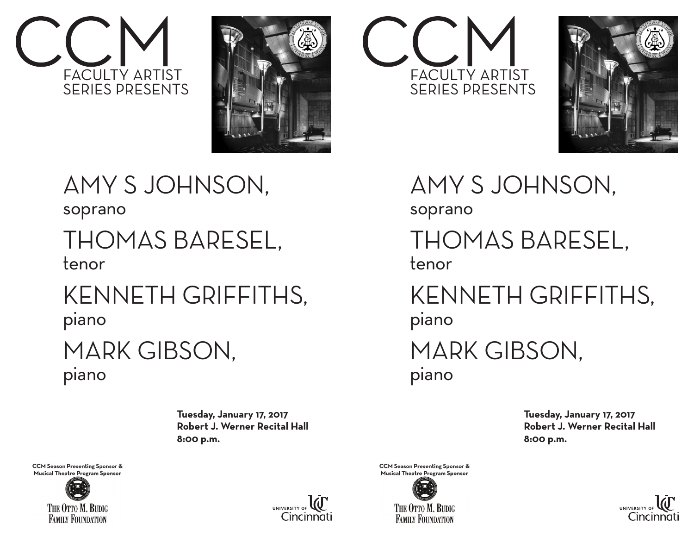







AMY S JOHNSON, soprano THOMAS BARESEL, tenor KENNETH GRIFFITHS, piano MARK GIBSON, piano

> **Tuesday, January 17, 2017 Robert J. Werner Recital Hall 8:00 p.m.**





AMY S JOHNSON,

soprano

## THOMAS BARESEL, tenor

KENNETH GRIFFITHS, piano

## MARK GIBSON, piano

**Tuesday, January 17, 2017 Robert J. Werner Recital Hall 8:00 p.m.**

**CCM Season Presenting Sponsor &** Musical Theatre Program Sponsor





**CCM Season Presenting Sponsor &** Musical Theatre Program Sponsor